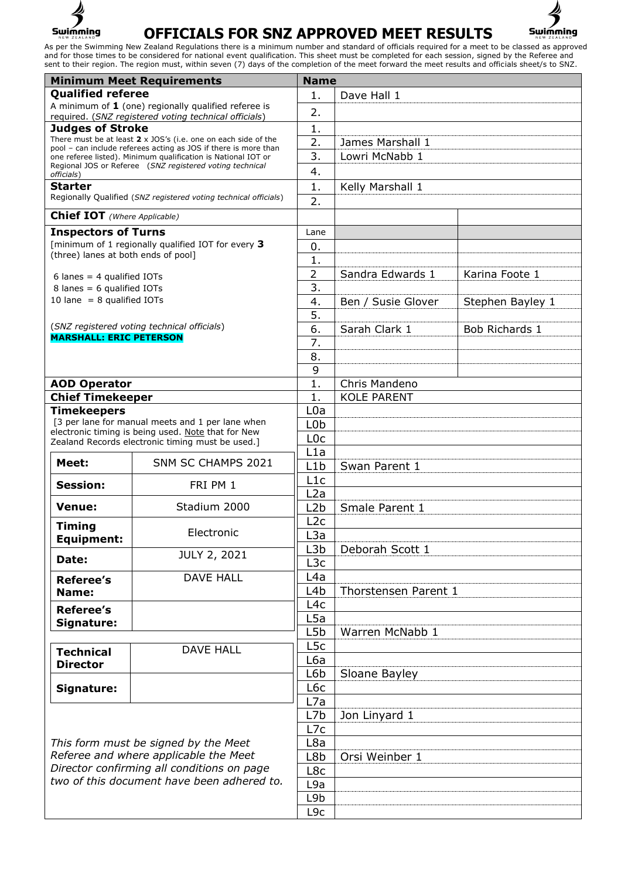



| <b>Minimum Meet Requirements</b>                                                                                                                                          |                                                                                                                           | <b>Name</b>      |                      |                  |
|---------------------------------------------------------------------------------------------------------------------------------------------------------------------------|---------------------------------------------------------------------------------------------------------------------------|------------------|----------------------|------------------|
| <b>Qualified referee</b>                                                                                                                                                  |                                                                                                                           | 1.               | Dave Hall 1          |                  |
| A minimum of $1$ (one) regionally qualified referee is                                                                                                                    |                                                                                                                           | 2.               |                      |                  |
| <b>Judges of Stroke</b>                                                                                                                                                   | required. (SNZ registered voting technical officials)                                                                     | 1.               |                      |                  |
|                                                                                                                                                                           | There must be at least $2 \times$ JOS's (i.e. one on each side of the                                                     | $\overline{2}$ . | James Marshall 1     |                  |
|                                                                                                                                                                           | pool – can include referees acting as JOS if there is more than                                                           | 3.               |                      |                  |
|                                                                                                                                                                           | one referee listed). Minimum qualification is National IOT or<br>Regional JOS or Referee (SNZ registered voting technical |                  | Lowri McNabb 1       |                  |
| officials)                                                                                                                                                                |                                                                                                                           | 4.               |                      |                  |
| <b>Starter</b>                                                                                                                                                            | Regionally Qualified (SNZ registered voting technical officials)                                                          | 1.               | Kelly Marshall 1     |                  |
|                                                                                                                                                                           |                                                                                                                           | 2.               |                      |                  |
| <b>Chief IOT</b> (Where Applicable)                                                                                                                                       |                                                                                                                           |                  |                      |                  |
| <b>Inspectors of Turns</b>                                                                                                                                                |                                                                                                                           | Lane             |                      |                  |
|                                                                                                                                                                           | [minimum of 1 regionally qualified IOT for every 3                                                                        | 0.               |                      |                  |
| (three) lanes at both ends of pool]                                                                                                                                       |                                                                                                                           | 1.               |                      |                  |
| 6 lanes = $4$ qualified IOTs                                                                                                                                              |                                                                                                                           | $\overline{2}$   | Sandra Edwards 1     | Karina Foote 1   |
| 8 lanes = $6$ qualified IOTs                                                                                                                                              |                                                                                                                           | 3.               |                      |                  |
| 10 lane = $8$ qualified IOTs                                                                                                                                              |                                                                                                                           | 4.               | Ben / Susie Glover   | Stephen Bayley 1 |
|                                                                                                                                                                           |                                                                                                                           | 5.               |                      |                  |
|                                                                                                                                                                           | (SNZ registered voting technical officials)                                                                               | 6.               | Sarah Clark 1        | Bob Richards 1   |
| <b>MARSHALL: ERIC PETERSON</b>                                                                                                                                            |                                                                                                                           | 7.               |                      |                  |
|                                                                                                                                                                           |                                                                                                                           | 8.               |                      |                  |
|                                                                                                                                                                           |                                                                                                                           | 9                |                      |                  |
| <b>AOD Operator</b>                                                                                                                                                       |                                                                                                                           | $\mathbf{1}$ .   | Chris Mandeno        |                  |
| <b>Chief Timekeeper</b>                                                                                                                                                   |                                                                                                                           | $\mathbf{1}$ .   | <b>KOLE PARENT</b>   |                  |
| <b>Timekeepers</b>                                                                                                                                                        |                                                                                                                           | L <sub>0</sub> a |                      |                  |
|                                                                                                                                                                           | [3 per lane for manual meets and 1 per lane when                                                                          | L <sub>0</sub> b |                      |                  |
|                                                                                                                                                                           | electronic timing is being used. Note that for New<br>Zealand Records electronic timing must be used.]                    | L <sub>0</sub> c |                      |                  |
|                                                                                                                                                                           |                                                                                                                           | L1a              |                      |                  |
| Meet:                                                                                                                                                                     | SNM SC CHAMPS 2021                                                                                                        | L1b              | Swan Parent 1        |                  |
| <b>Session:</b>                                                                                                                                                           | FRI PM 1                                                                                                                  | L1c              |                      |                  |
|                                                                                                                                                                           |                                                                                                                           | L2a              |                      |                  |
| <b>Venue:</b>                                                                                                                                                             | Stadium 2000                                                                                                              | L <sub>2</sub> b | Smale Parent 1       |                  |
|                                                                                                                                                                           |                                                                                                                           | L2c              |                      |                  |
| Timing<br><b>Equipment:</b>                                                                                                                                               | Electronic<br><b>JULY 2, 2021</b>                                                                                         | L <sub>3</sub> a |                      |                  |
|                                                                                                                                                                           |                                                                                                                           | L <sub>3</sub> b | Deborah Scott 1      |                  |
| Date:                                                                                                                                                                     |                                                                                                                           | L3c              |                      |                  |
| <b>Referee's</b>                                                                                                                                                          | <b>DAVE HALL</b>                                                                                                          | L4a              |                      |                  |
| Name:                                                                                                                                                                     |                                                                                                                           | L <sub>4</sub> b | Thorstensen Parent 1 |                  |
|                                                                                                                                                                           |                                                                                                                           | L4c              |                      |                  |
| <b>Referee's</b><br>Signature:                                                                                                                                            |                                                                                                                           | L <sub>5</sub> a |                      |                  |
|                                                                                                                                                                           |                                                                                                                           | L <sub>5</sub> b | Warren McNabb 1      |                  |
|                                                                                                                                                                           | <b>DAVE HALL</b>                                                                                                          | L <sub>5</sub> c |                      |                  |
| <b>Technical</b>                                                                                                                                                          |                                                                                                                           | L6a              |                      |                  |
| <b>Director</b>                                                                                                                                                           |                                                                                                                           | L6b              | Sloane Bayley        |                  |
| Signature:                                                                                                                                                                |                                                                                                                           | L6c              |                      |                  |
|                                                                                                                                                                           |                                                                                                                           | L7a              |                      |                  |
| This form must be signed by the Meet<br>Referee and where applicable the Meet<br>Director confirming all conditions on page<br>two of this document have been adhered to. |                                                                                                                           | L7b              | Jon Linyard 1        |                  |
|                                                                                                                                                                           |                                                                                                                           | L7c              |                      |                  |
|                                                                                                                                                                           |                                                                                                                           | L8a              |                      |                  |
|                                                                                                                                                                           |                                                                                                                           | L8b              | Orsi Weinber 1       |                  |
|                                                                                                                                                                           |                                                                                                                           | L8c              |                      |                  |
|                                                                                                                                                                           |                                                                                                                           | L9a              |                      |                  |
|                                                                                                                                                                           |                                                                                                                           | L9b              |                      |                  |
|                                                                                                                                                                           |                                                                                                                           | L <sub>9c</sub>  |                      |                  |
|                                                                                                                                                                           |                                                                                                                           |                  |                      |                  |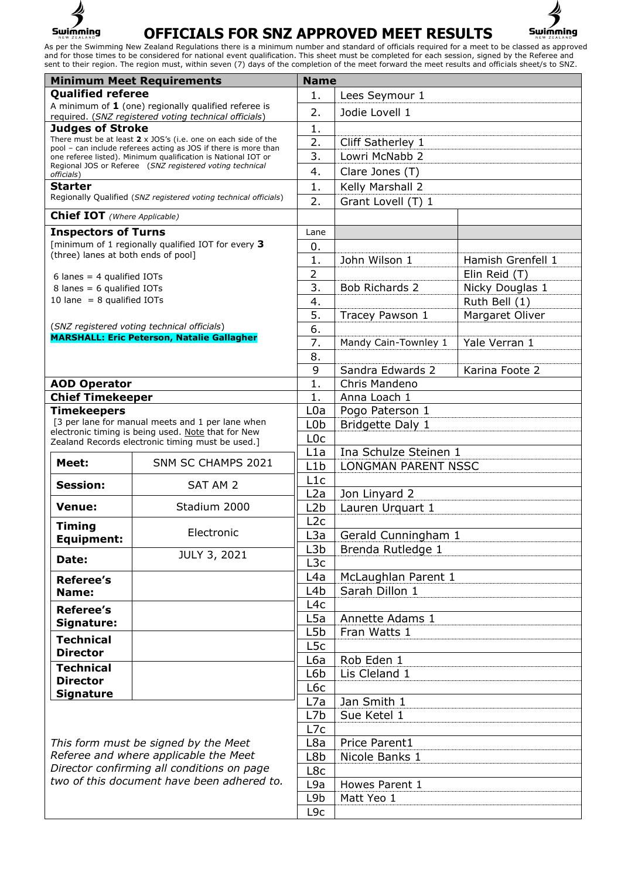



| <b>Minimum Meet Requirements</b>                                                    |                                                                                                                                  | <b>Name</b>      |                            |                   |
|-------------------------------------------------------------------------------------|----------------------------------------------------------------------------------------------------------------------------------|------------------|----------------------------|-------------------|
| <b>Qualified referee</b>                                                            |                                                                                                                                  | 1.               | Lees Seymour 1             |                   |
|                                                                                     | A minimum of $1$ (one) regionally qualified referee is                                                                           | 2.               | Jodie Lovell 1             |                   |
| required. (SNZ registered voting technical officials)<br><b>Judges of Stroke</b>    |                                                                                                                                  | 1.               |                            |                   |
|                                                                                     | There must be at least $2 \times$ JOS's (i.e. one on each side of the                                                            | 2.               | Cliff Satherley 1          |                   |
|                                                                                     | pool - can include referees acting as JOS if there is more than<br>one referee listed). Minimum qualification is National IOT or | 3.               | Lowri McNabb 2             |                   |
|                                                                                     | Regional JOS or Referee (SNZ registered voting technical                                                                         | 4.               | Clare Jones (T)            |                   |
| officials)<br><b>Starter</b>                                                        |                                                                                                                                  | 1.               |                            |                   |
|                                                                                     | Regionally Qualified (SNZ registered voting technical officials)                                                                 | 2.               | Kelly Marshall 2           |                   |
|                                                                                     |                                                                                                                                  |                  | Grant Lovell (T) 1         |                   |
| <b>Chief IOT</b> (Where Applicable)                                                 |                                                                                                                                  |                  |                            |                   |
| <b>Inspectors of Turns</b>                                                          |                                                                                                                                  | Lane             |                            |                   |
|                                                                                     | [minimum of 1 regionally qualified IOT for every 3<br>(three) lanes at both ends of pool]                                        | 0.               |                            |                   |
|                                                                                     |                                                                                                                                  | 1.               | John Wilson 1              | Hamish Grenfell 1 |
| 6 lanes = $4$ qualified IOTs                                                        |                                                                                                                                  | $\overline{2}$   |                            | Elin Reid (T)     |
| 8 lanes = 6 qualified IOTs<br>10 lane = $8$ qualified IOTs                          |                                                                                                                                  | 3.               | Bob Richards 2             | Nicky Douglas 1   |
|                                                                                     |                                                                                                                                  | 4.<br>5.         |                            | Ruth Bell (1)     |
|                                                                                     | (SNZ registered voting technical officials)                                                                                      | 6.               | Tracey Pawson 1            | Margaret Oliver   |
|                                                                                     | <b>MARSHALL: Eric Peterson, Natalie Gallagher</b>                                                                                | 7.               | Mandy Cain-Townley 1       | Yale Verran 1     |
|                                                                                     |                                                                                                                                  | 8.               |                            |                   |
|                                                                                     |                                                                                                                                  | 9                | Sandra Edwards 2           | Karina Foote 2    |
| <b>AOD Operator</b>                                                                 |                                                                                                                                  | $\overline{1}$ . | Chris Mandeno              |                   |
| <b>Chief Timekeeper</b>                                                             |                                                                                                                                  | 1.               | Anna Loach 1               |                   |
| <b>Timekeepers</b>                                                                  |                                                                                                                                  | L0a              | Pogo Paterson 1            |                   |
|                                                                                     | [3 per lane for manual meets and 1 per lane when                                                                                 | L <sub>0</sub> b | Bridgette Daly 1           |                   |
|                                                                                     | electronic timing is being used. Note that for New                                                                               | L <sub>0</sub> c |                            |                   |
|                                                                                     | Zealand Records electronic timing must be used.]                                                                                 | L1a              | Ina Schulze Steinen 1      |                   |
| Meet:                                                                               | SNM SC CHAMPS 2021                                                                                                               | L1b              | <b>LONGMAN PARENT NSSC</b> |                   |
| <b>Session:</b>                                                                     | SAT AM 2                                                                                                                         | L1c              |                            |                   |
|                                                                                     |                                                                                                                                  | L2a              | Jon Linyard 2              |                   |
| Venue:                                                                              | Stadium 2000                                                                                                                     | L <sub>2</sub> b | Lauren Urquart 1           |                   |
| Timing                                                                              |                                                                                                                                  | L2c              |                            |                   |
| <b>Equipment:</b>                                                                   | Electronic                                                                                                                       | L <sub>3</sub> a | Gerald Cunningham 1        |                   |
|                                                                                     | <b>JULY 3, 2021</b>                                                                                                              |                  | Brenda Rutledge 1          |                   |
| Date:                                                                               |                                                                                                                                  | L <sub>3</sub> c |                            |                   |
| <b>Referee's</b>                                                                    |                                                                                                                                  | L4a              | McLaughlan Parent 1        |                   |
| Name:                                                                               |                                                                                                                                  | L4b              | Sarah Dillon 1             |                   |
| <b>Referee's</b>                                                                    |                                                                                                                                  | L <sub>4</sub> c |                            |                   |
| Signature:                                                                          |                                                                                                                                  | L5a              | Annette Adams 1            |                   |
| <b>Technical</b>                                                                    |                                                                                                                                  | L5b              | Fran Watts 1               |                   |
| <b>Director</b>                                                                     |                                                                                                                                  | L <sub>5</sub> c |                            |                   |
| <b>Technical</b>                                                                    |                                                                                                                                  | L6a              | Rob Eden 1                 |                   |
| <b>Director</b>                                                                     |                                                                                                                                  | L6b              | Lis Cleland 1              |                   |
| <b>Signature</b>                                                                    |                                                                                                                                  | L6c              |                            |                   |
|                                                                                     |                                                                                                                                  | L7a              | Jan Smith 1                |                   |
|                                                                                     |                                                                                                                                  | L7b              | Sue Ketel 1                |                   |
|                                                                                     |                                                                                                                                  | L7c              |                            |                   |
| This form must be signed by the Meet                                                |                                                                                                                                  | L8a              | Price Parent1              |                   |
| Referee and where applicable the Meet<br>Director confirming all conditions on page |                                                                                                                                  | L8b              | Nicole Banks 1             |                   |
| two of this document have been adhered to.                                          |                                                                                                                                  | L8c              |                            |                   |
|                                                                                     |                                                                                                                                  | L9a<br>L9b       | Howes Parent 1             |                   |
|                                                                                     |                                                                                                                                  |                  | Matt Yeo 1                 |                   |
|                                                                                     |                                                                                                                                  | L9c              |                            |                   |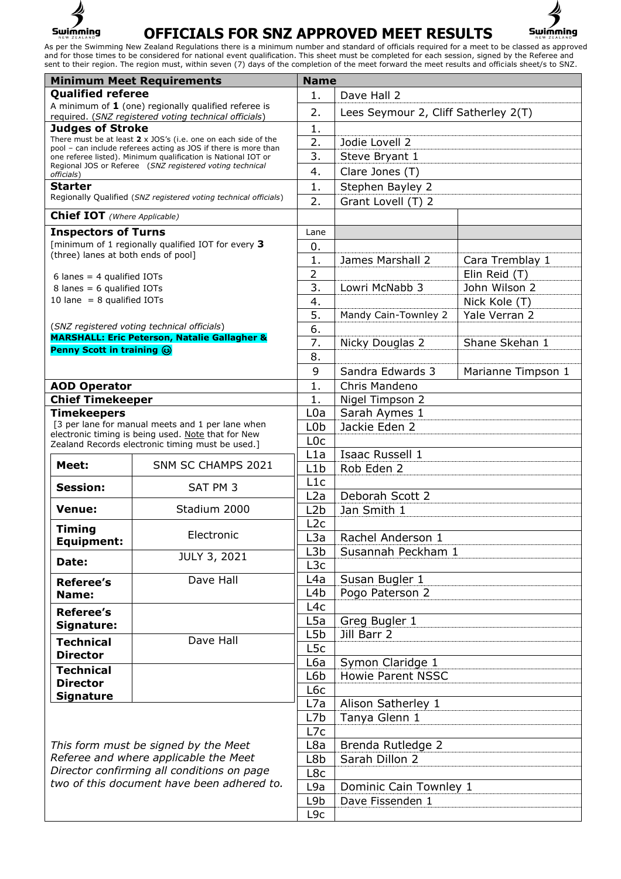



| <b>Qualified referee</b><br>1.<br>Dave Hall 2<br>A minimum of 1 (one) regionally qualified referee is<br>2.<br>Lees Seymour 2, Cliff Satherley 2(T)<br>required. (SNZ registered voting technical officials)<br><b>Judges of Stroke</b><br>1.<br>There must be at least $2 \times 30S$ 's (i.e. one on each side of the<br>2.<br>Jodie Lovell 2<br>pool - can include referees acting as JOS if there is more than<br>3.<br>Steve Bryant 1<br>one referee listed). Minimum qualification is National IOT or<br>Regional JOS or Referee (SNZ registered voting technical<br>4.<br>Clare Jones (T)<br>officials)<br><b>Starter</b><br>Stephen Bayley 2<br>1.<br>Regionally Qualified (SNZ registered voting technical officials)<br>2.<br>Grant Lovell (T) 2<br><b>Chief IOT</b> (Where Applicable)<br><b>Inspectors of Turns</b><br>Lane<br>[minimum of 1 regionally qualified IOT for every 3<br>0.<br>(three) lanes at both ends of pool]<br>1.<br>James Marshall 2<br>Cara Tremblay 1<br>2<br>Elin Reid (T)<br>6 lanes = $4$ qualified IOTs<br>3.<br>Lowri McNabb 3<br>John Wilson 2<br>8 lanes = $6$ qualified IOTs<br>10 lane = $8$ qualified IOTs<br>4.<br>Nick Kole (T)<br>5.<br>Mandy Cain-Townley 2<br>Yale Verran 2<br>(SNZ registered voting technical officials)<br>6.<br><b>MARSHALL: Eric Peterson, Natalie Gallagher &amp;</b><br>7.<br>Shane Skehan 1<br>Nicky Douglas 2<br>Penny Scott in training @<br>8.<br>9<br>Sandra Edwards 3<br>Marianne Timpson 1<br>1.<br>Chris Mandeno<br><b>AOD Operator</b><br><b>Chief Timekeeper</b><br>1.<br>Nigel Timpson 2<br><b>Timekeepers</b><br>L0a<br>Sarah Aymes 1<br>[3 per lane for manual meets and 1 per lane when<br>Jackie Eden 2<br>L <sub>0</sub> b<br>electronic timing is being used. Note that for New<br>L <sub>0</sub> c<br>Zealand Records electronic timing must be used.]<br>Isaac Russell 1<br>L1a<br>SNM SC CHAMPS 2021<br>Meet:<br>L1b<br>Rob Eden 2<br>L1c<br>Session:<br>SAT PM 3<br>Deborah Scott 2<br>L2a<br>Stadium 2000<br><b>Venue:</b><br>L <sub>2</sub> b<br>Jan Smith 1<br>L2c<br><b>Timing</b><br>Electronic<br>L <sub>3</sub> a<br>Rachel Anderson 1<br>Equipment:<br>Susannah Peckham 1<br>L3b<br>JULY 3, 2021<br>Date:<br>L <sub>3</sub> c<br>Susan Bugler 1<br>Dave Hall<br>L4a<br><b>Referee's</b><br>Pogo Paterson 2<br>L4b<br>Name:<br>L4c<br>Referee's<br>L5a<br>Greg Bugler 1<br>Signature:<br>L <sub>5</sub> b<br>Jill Barr 2<br>Dave Hall<br><b>Technical</b><br>L <sub>5</sub> c<br><b>Director</b><br>L6a<br>Symon Claridge 1<br><b>Technical</b><br>L6b<br><b>Howie Parent NSSC</b><br><b>Director</b><br>L6c<br><b>Signature</b><br>L7a<br>Alison Satherley 1<br>L7b<br>Tanya Glenn 1<br>L7c<br>Brenda Rutledge 2<br>This form must be signed by the Meet<br>L8a<br>Referee and where applicable the Meet<br>Sarah Dillon 2<br>L8b<br>Director confirming all conditions on page<br>L8c<br>two of this document have been adhered to.<br>L9a<br>Dominic Cain Townley 1<br>L9b<br>Dave Fissenden 1<br>L <sub>9c</sub> | <b>Minimum Meet Requirements</b> |  | <b>Name</b> |  |  |
|--------------------------------------------------------------------------------------------------------------------------------------------------------------------------------------------------------------------------------------------------------------------------------------------------------------------------------------------------------------------------------------------------------------------------------------------------------------------------------------------------------------------------------------------------------------------------------------------------------------------------------------------------------------------------------------------------------------------------------------------------------------------------------------------------------------------------------------------------------------------------------------------------------------------------------------------------------------------------------------------------------------------------------------------------------------------------------------------------------------------------------------------------------------------------------------------------------------------------------------------------------------------------------------------------------------------------------------------------------------------------------------------------------------------------------------------------------------------------------------------------------------------------------------------------------------------------------------------------------------------------------------------------------------------------------------------------------------------------------------------------------------------------------------------------------------------------------------------------------------------------------------------------------------------------------------------------------------------------------------------------------------------------------------------------------------------------------------------------------------------------------------------------------------------------------------------------------------------------------------------------------------------------------------------------------------------------------------------------------------------------------------------------------------------------------------------------------------------------------------------------------------------------------------------------------------------------------------------------------------------------------------------------------------------------------------------------------------------------------------------------------------------------------------------------------------------------------------------------------------------------------------------------------------------------------------------------------------------------------------------------------------------------|----------------------------------|--|-------------|--|--|
|                                                                                                                                                                                                                                                                                                                                                                                                                                                                                                                                                                                                                                                                                                                                                                                                                                                                                                                                                                                                                                                                                                                                                                                                                                                                                                                                                                                                                                                                                                                                                                                                                                                                                                                                                                                                                                                                                                                                                                                                                                                                                                                                                                                                                                                                                                                                                                                                                                                                                                                                                                                                                                                                                                                                                                                                                                                                                                                                                                                                                          |                                  |  |             |  |  |
|                                                                                                                                                                                                                                                                                                                                                                                                                                                                                                                                                                                                                                                                                                                                                                                                                                                                                                                                                                                                                                                                                                                                                                                                                                                                                                                                                                                                                                                                                                                                                                                                                                                                                                                                                                                                                                                                                                                                                                                                                                                                                                                                                                                                                                                                                                                                                                                                                                                                                                                                                                                                                                                                                                                                                                                                                                                                                                                                                                                                                          |                                  |  |             |  |  |
|                                                                                                                                                                                                                                                                                                                                                                                                                                                                                                                                                                                                                                                                                                                                                                                                                                                                                                                                                                                                                                                                                                                                                                                                                                                                                                                                                                                                                                                                                                                                                                                                                                                                                                                                                                                                                                                                                                                                                                                                                                                                                                                                                                                                                                                                                                                                                                                                                                                                                                                                                                                                                                                                                                                                                                                                                                                                                                                                                                                                                          |                                  |  |             |  |  |
|                                                                                                                                                                                                                                                                                                                                                                                                                                                                                                                                                                                                                                                                                                                                                                                                                                                                                                                                                                                                                                                                                                                                                                                                                                                                                                                                                                                                                                                                                                                                                                                                                                                                                                                                                                                                                                                                                                                                                                                                                                                                                                                                                                                                                                                                                                                                                                                                                                                                                                                                                                                                                                                                                                                                                                                                                                                                                                                                                                                                                          |                                  |  |             |  |  |
|                                                                                                                                                                                                                                                                                                                                                                                                                                                                                                                                                                                                                                                                                                                                                                                                                                                                                                                                                                                                                                                                                                                                                                                                                                                                                                                                                                                                                                                                                                                                                                                                                                                                                                                                                                                                                                                                                                                                                                                                                                                                                                                                                                                                                                                                                                                                                                                                                                                                                                                                                                                                                                                                                                                                                                                                                                                                                                                                                                                                                          |                                  |  |             |  |  |
|                                                                                                                                                                                                                                                                                                                                                                                                                                                                                                                                                                                                                                                                                                                                                                                                                                                                                                                                                                                                                                                                                                                                                                                                                                                                                                                                                                                                                                                                                                                                                                                                                                                                                                                                                                                                                                                                                                                                                                                                                                                                                                                                                                                                                                                                                                                                                                                                                                                                                                                                                                                                                                                                                                                                                                                                                                                                                                                                                                                                                          |                                  |  |             |  |  |
|                                                                                                                                                                                                                                                                                                                                                                                                                                                                                                                                                                                                                                                                                                                                                                                                                                                                                                                                                                                                                                                                                                                                                                                                                                                                                                                                                                                                                                                                                                                                                                                                                                                                                                                                                                                                                                                                                                                                                                                                                                                                                                                                                                                                                                                                                                                                                                                                                                                                                                                                                                                                                                                                                                                                                                                                                                                                                                                                                                                                                          |                                  |  |             |  |  |
|                                                                                                                                                                                                                                                                                                                                                                                                                                                                                                                                                                                                                                                                                                                                                                                                                                                                                                                                                                                                                                                                                                                                                                                                                                                                                                                                                                                                                                                                                                                                                                                                                                                                                                                                                                                                                                                                                                                                                                                                                                                                                                                                                                                                                                                                                                                                                                                                                                                                                                                                                                                                                                                                                                                                                                                                                                                                                                                                                                                                                          |                                  |  |             |  |  |
|                                                                                                                                                                                                                                                                                                                                                                                                                                                                                                                                                                                                                                                                                                                                                                                                                                                                                                                                                                                                                                                                                                                                                                                                                                                                                                                                                                                                                                                                                                                                                                                                                                                                                                                                                                                                                                                                                                                                                                                                                                                                                                                                                                                                                                                                                                                                                                                                                                                                                                                                                                                                                                                                                                                                                                                                                                                                                                                                                                                                                          |                                  |  |             |  |  |
|                                                                                                                                                                                                                                                                                                                                                                                                                                                                                                                                                                                                                                                                                                                                                                                                                                                                                                                                                                                                                                                                                                                                                                                                                                                                                                                                                                                                                                                                                                                                                                                                                                                                                                                                                                                                                                                                                                                                                                                                                                                                                                                                                                                                                                                                                                                                                                                                                                                                                                                                                                                                                                                                                                                                                                                                                                                                                                                                                                                                                          |                                  |  |             |  |  |
|                                                                                                                                                                                                                                                                                                                                                                                                                                                                                                                                                                                                                                                                                                                                                                                                                                                                                                                                                                                                                                                                                                                                                                                                                                                                                                                                                                                                                                                                                                                                                                                                                                                                                                                                                                                                                                                                                                                                                                                                                                                                                                                                                                                                                                                                                                                                                                                                                                                                                                                                                                                                                                                                                                                                                                                                                                                                                                                                                                                                                          |                                  |  |             |  |  |
|                                                                                                                                                                                                                                                                                                                                                                                                                                                                                                                                                                                                                                                                                                                                                                                                                                                                                                                                                                                                                                                                                                                                                                                                                                                                                                                                                                                                                                                                                                                                                                                                                                                                                                                                                                                                                                                                                                                                                                                                                                                                                                                                                                                                                                                                                                                                                                                                                                                                                                                                                                                                                                                                                                                                                                                                                                                                                                                                                                                                                          |                                  |  |             |  |  |
|                                                                                                                                                                                                                                                                                                                                                                                                                                                                                                                                                                                                                                                                                                                                                                                                                                                                                                                                                                                                                                                                                                                                                                                                                                                                                                                                                                                                                                                                                                                                                                                                                                                                                                                                                                                                                                                                                                                                                                                                                                                                                                                                                                                                                                                                                                                                                                                                                                                                                                                                                                                                                                                                                                                                                                                                                                                                                                                                                                                                                          |                                  |  |             |  |  |
|                                                                                                                                                                                                                                                                                                                                                                                                                                                                                                                                                                                                                                                                                                                                                                                                                                                                                                                                                                                                                                                                                                                                                                                                                                                                                                                                                                                                                                                                                                                                                                                                                                                                                                                                                                                                                                                                                                                                                                                                                                                                                                                                                                                                                                                                                                                                                                                                                                                                                                                                                                                                                                                                                                                                                                                                                                                                                                                                                                                                                          |                                  |  |             |  |  |
|                                                                                                                                                                                                                                                                                                                                                                                                                                                                                                                                                                                                                                                                                                                                                                                                                                                                                                                                                                                                                                                                                                                                                                                                                                                                                                                                                                                                                                                                                                                                                                                                                                                                                                                                                                                                                                                                                                                                                                                                                                                                                                                                                                                                                                                                                                                                                                                                                                                                                                                                                                                                                                                                                                                                                                                                                                                                                                                                                                                                                          |                                  |  |             |  |  |
|                                                                                                                                                                                                                                                                                                                                                                                                                                                                                                                                                                                                                                                                                                                                                                                                                                                                                                                                                                                                                                                                                                                                                                                                                                                                                                                                                                                                                                                                                                                                                                                                                                                                                                                                                                                                                                                                                                                                                                                                                                                                                                                                                                                                                                                                                                                                                                                                                                                                                                                                                                                                                                                                                                                                                                                                                                                                                                                                                                                                                          |                                  |  |             |  |  |
|                                                                                                                                                                                                                                                                                                                                                                                                                                                                                                                                                                                                                                                                                                                                                                                                                                                                                                                                                                                                                                                                                                                                                                                                                                                                                                                                                                                                                                                                                                                                                                                                                                                                                                                                                                                                                                                                                                                                                                                                                                                                                                                                                                                                                                                                                                                                                                                                                                                                                                                                                                                                                                                                                                                                                                                                                                                                                                                                                                                                                          |                                  |  |             |  |  |
|                                                                                                                                                                                                                                                                                                                                                                                                                                                                                                                                                                                                                                                                                                                                                                                                                                                                                                                                                                                                                                                                                                                                                                                                                                                                                                                                                                                                                                                                                                                                                                                                                                                                                                                                                                                                                                                                                                                                                                                                                                                                                                                                                                                                                                                                                                                                                                                                                                                                                                                                                                                                                                                                                                                                                                                                                                                                                                                                                                                                                          |                                  |  |             |  |  |
|                                                                                                                                                                                                                                                                                                                                                                                                                                                                                                                                                                                                                                                                                                                                                                                                                                                                                                                                                                                                                                                                                                                                                                                                                                                                                                                                                                                                                                                                                                                                                                                                                                                                                                                                                                                                                                                                                                                                                                                                                                                                                                                                                                                                                                                                                                                                                                                                                                                                                                                                                                                                                                                                                                                                                                                                                                                                                                                                                                                                                          |                                  |  |             |  |  |
|                                                                                                                                                                                                                                                                                                                                                                                                                                                                                                                                                                                                                                                                                                                                                                                                                                                                                                                                                                                                                                                                                                                                                                                                                                                                                                                                                                                                                                                                                                                                                                                                                                                                                                                                                                                                                                                                                                                                                                                                                                                                                                                                                                                                                                                                                                                                                                                                                                                                                                                                                                                                                                                                                                                                                                                                                                                                                                                                                                                                                          |                                  |  |             |  |  |
|                                                                                                                                                                                                                                                                                                                                                                                                                                                                                                                                                                                                                                                                                                                                                                                                                                                                                                                                                                                                                                                                                                                                                                                                                                                                                                                                                                                                                                                                                                                                                                                                                                                                                                                                                                                                                                                                                                                                                                                                                                                                                                                                                                                                                                                                                                                                                                                                                                                                                                                                                                                                                                                                                                                                                                                                                                                                                                                                                                                                                          |                                  |  |             |  |  |
|                                                                                                                                                                                                                                                                                                                                                                                                                                                                                                                                                                                                                                                                                                                                                                                                                                                                                                                                                                                                                                                                                                                                                                                                                                                                                                                                                                                                                                                                                                                                                                                                                                                                                                                                                                                                                                                                                                                                                                                                                                                                                                                                                                                                                                                                                                                                                                                                                                                                                                                                                                                                                                                                                                                                                                                                                                                                                                                                                                                                                          |                                  |  |             |  |  |
|                                                                                                                                                                                                                                                                                                                                                                                                                                                                                                                                                                                                                                                                                                                                                                                                                                                                                                                                                                                                                                                                                                                                                                                                                                                                                                                                                                                                                                                                                                                                                                                                                                                                                                                                                                                                                                                                                                                                                                                                                                                                                                                                                                                                                                                                                                                                                                                                                                                                                                                                                                                                                                                                                                                                                                                                                                                                                                                                                                                                                          |                                  |  |             |  |  |
|                                                                                                                                                                                                                                                                                                                                                                                                                                                                                                                                                                                                                                                                                                                                                                                                                                                                                                                                                                                                                                                                                                                                                                                                                                                                                                                                                                                                                                                                                                                                                                                                                                                                                                                                                                                                                                                                                                                                                                                                                                                                                                                                                                                                                                                                                                                                                                                                                                                                                                                                                                                                                                                                                                                                                                                                                                                                                                                                                                                                                          |                                  |  |             |  |  |
|                                                                                                                                                                                                                                                                                                                                                                                                                                                                                                                                                                                                                                                                                                                                                                                                                                                                                                                                                                                                                                                                                                                                                                                                                                                                                                                                                                                                                                                                                                                                                                                                                                                                                                                                                                                                                                                                                                                                                                                                                                                                                                                                                                                                                                                                                                                                                                                                                                                                                                                                                                                                                                                                                                                                                                                                                                                                                                                                                                                                                          |                                  |  |             |  |  |
|                                                                                                                                                                                                                                                                                                                                                                                                                                                                                                                                                                                                                                                                                                                                                                                                                                                                                                                                                                                                                                                                                                                                                                                                                                                                                                                                                                                                                                                                                                                                                                                                                                                                                                                                                                                                                                                                                                                                                                                                                                                                                                                                                                                                                                                                                                                                                                                                                                                                                                                                                                                                                                                                                                                                                                                                                                                                                                                                                                                                                          |                                  |  |             |  |  |
|                                                                                                                                                                                                                                                                                                                                                                                                                                                                                                                                                                                                                                                                                                                                                                                                                                                                                                                                                                                                                                                                                                                                                                                                                                                                                                                                                                                                                                                                                                                                                                                                                                                                                                                                                                                                                                                                                                                                                                                                                                                                                                                                                                                                                                                                                                                                                                                                                                                                                                                                                                                                                                                                                                                                                                                                                                                                                                                                                                                                                          |                                  |  |             |  |  |
|                                                                                                                                                                                                                                                                                                                                                                                                                                                                                                                                                                                                                                                                                                                                                                                                                                                                                                                                                                                                                                                                                                                                                                                                                                                                                                                                                                                                                                                                                                                                                                                                                                                                                                                                                                                                                                                                                                                                                                                                                                                                                                                                                                                                                                                                                                                                                                                                                                                                                                                                                                                                                                                                                                                                                                                                                                                                                                                                                                                                                          |                                  |  |             |  |  |
|                                                                                                                                                                                                                                                                                                                                                                                                                                                                                                                                                                                                                                                                                                                                                                                                                                                                                                                                                                                                                                                                                                                                                                                                                                                                                                                                                                                                                                                                                                                                                                                                                                                                                                                                                                                                                                                                                                                                                                                                                                                                                                                                                                                                                                                                                                                                                                                                                                                                                                                                                                                                                                                                                                                                                                                                                                                                                                                                                                                                                          |                                  |  |             |  |  |
|                                                                                                                                                                                                                                                                                                                                                                                                                                                                                                                                                                                                                                                                                                                                                                                                                                                                                                                                                                                                                                                                                                                                                                                                                                                                                                                                                                                                                                                                                                                                                                                                                                                                                                                                                                                                                                                                                                                                                                                                                                                                                                                                                                                                                                                                                                                                                                                                                                                                                                                                                                                                                                                                                                                                                                                                                                                                                                                                                                                                                          |                                  |  |             |  |  |
|                                                                                                                                                                                                                                                                                                                                                                                                                                                                                                                                                                                                                                                                                                                                                                                                                                                                                                                                                                                                                                                                                                                                                                                                                                                                                                                                                                                                                                                                                                                                                                                                                                                                                                                                                                                                                                                                                                                                                                                                                                                                                                                                                                                                                                                                                                                                                                                                                                                                                                                                                                                                                                                                                                                                                                                                                                                                                                                                                                                                                          |                                  |  |             |  |  |
|                                                                                                                                                                                                                                                                                                                                                                                                                                                                                                                                                                                                                                                                                                                                                                                                                                                                                                                                                                                                                                                                                                                                                                                                                                                                                                                                                                                                                                                                                                                                                                                                                                                                                                                                                                                                                                                                                                                                                                                                                                                                                                                                                                                                                                                                                                                                                                                                                                                                                                                                                                                                                                                                                                                                                                                                                                                                                                                                                                                                                          |                                  |  |             |  |  |
|                                                                                                                                                                                                                                                                                                                                                                                                                                                                                                                                                                                                                                                                                                                                                                                                                                                                                                                                                                                                                                                                                                                                                                                                                                                                                                                                                                                                                                                                                                                                                                                                                                                                                                                                                                                                                                                                                                                                                                                                                                                                                                                                                                                                                                                                                                                                                                                                                                                                                                                                                                                                                                                                                                                                                                                                                                                                                                                                                                                                                          |                                  |  |             |  |  |
|                                                                                                                                                                                                                                                                                                                                                                                                                                                                                                                                                                                                                                                                                                                                                                                                                                                                                                                                                                                                                                                                                                                                                                                                                                                                                                                                                                                                                                                                                                                                                                                                                                                                                                                                                                                                                                                                                                                                                                                                                                                                                                                                                                                                                                                                                                                                                                                                                                                                                                                                                                                                                                                                                                                                                                                                                                                                                                                                                                                                                          |                                  |  |             |  |  |
|                                                                                                                                                                                                                                                                                                                                                                                                                                                                                                                                                                                                                                                                                                                                                                                                                                                                                                                                                                                                                                                                                                                                                                                                                                                                                                                                                                                                                                                                                                                                                                                                                                                                                                                                                                                                                                                                                                                                                                                                                                                                                                                                                                                                                                                                                                                                                                                                                                                                                                                                                                                                                                                                                                                                                                                                                                                                                                                                                                                                                          |                                  |  |             |  |  |
|                                                                                                                                                                                                                                                                                                                                                                                                                                                                                                                                                                                                                                                                                                                                                                                                                                                                                                                                                                                                                                                                                                                                                                                                                                                                                                                                                                                                                                                                                                                                                                                                                                                                                                                                                                                                                                                                                                                                                                                                                                                                                                                                                                                                                                                                                                                                                                                                                                                                                                                                                                                                                                                                                                                                                                                                                                                                                                                                                                                                                          |                                  |  |             |  |  |
|                                                                                                                                                                                                                                                                                                                                                                                                                                                                                                                                                                                                                                                                                                                                                                                                                                                                                                                                                                                                                                                                                                                                                                                                                                                                                                                                                                                                                                                                                                                                                                                                                                                                                                                                                                                                                                                                                                                                                                                                                                                                                                                                                                                                                                                                                                                                                                                                                                                                                                                                                                                                                                                                                                                                                                                                                                                                                                                                                                                                                          |                                  |  |             |  |  |
|                                                                                                                                                                                                                                                                                                                                                                                                                                                                                                                                                                                                                                                                                                                                                                                                                                                                                                                                                                                                                                                                                                                                                                                                                                                                                                                                                                                                                                                                                                                                                                                                                                                                                                                                                                                                                                                                                                                                                                                                                                                                                                                                                                                                                                                                                                                                                                                                                                                                                                                                                                                                                                                                                                                                                                                                                                                                                                                                                                                                                          |                                  |  |             |  |  |
|                                                                                                                                                                                                                                                                                                                                                                                                                                                                                                                                                                                                                                                                                                                                                                                                                                                                                                                                                                                                                                                                                                                                                                                                                                                                                                                                                                                                                                                                                                                                                                                                                                                                                                                                                                                                                                                                                                                                                                                                                                                                                                                                                                                                                                                                                                                                                                                                                                                                                                                                                                                                                                                                                                                                                                                                                                                                                                                                                                                                                          |                                  |  |             |  |  |
|                                                                                                                                                                                                                                                                                                                                                                                                                                                                                                                                                                                                                                                                                                                                                                                                                                                                                                                                                                                                                                                                                                                                                                                                                                                                                                                                                                                                                                                                                                                                                                                                                                                                                                                                                                                                                                                                                                                                                                                                                                                                                                                                                                                                                                                                                                                                                                                                                                                                                                                                                                                                                                                                                                                                                                                                                                                                                                                                                                                                                          |                                  |  |             |  |  |
|                                                                                                                                                                                                                                                                                                                                                                                                                                                                                                                                                                                                                                                                                                                                                                                                                                                                                                                                                                                                                                                                                                                                                                                                                                                                                                                                                                                                                                                                                                                                                                                                                                                                                                                                                                                                                                                                                                                                                                                                                                                                                                                                                                                                                                                                                                                                                                                                                                                                                                                                                                                                                                                                                                                                                                                                                                                                                                                                                                                                                          |                                  |  |             |  |  |
|                                                                                                                                                                                                                                                                                                                                                                                                                                                                                                                                                                                                                                                                                                                                                                                                                                                                                                                                                                                                                                                                                                                                                                                                                                                                                                                                                                                                                                                                                                                                                                                                                                                                                                                                                                                                                                                                                                                                                                                                                                                                                                                                                                                                                                                                                                                                                                                                                                                                                                                                                                                                                                                                                                                                                                                                                                                                                                                                                                                                                          |                                  |  |             |  |  |
|                                                                                                                                                                                                                                                                                                                                                                                                                                                                                                                                                                                                                                                                                                                                                                                                                                                                                                                                                                                                                                                                                                                                                                                                                                                                                                                                                                                                                                                                                                                                                                                                                                                                                                                                                                                                                                                                                                                                                                                                                                                                                                                                                                                                                                                                                                                                                                                                                                                                                                                                                                                                                                                                                                                                                                                                                                                                                                                                                                                                                          |                                  |  |             |  |  |
|                                                                                                                                                                                                                                                                                                                                                                                                                                                                                                                                                                                                                                                                                                                                                                                                                                                                                                                                                                                                                                                                                                                                                                                                                                                                                                                                                                                                                                                                                                                                                                                                                                                                                                                                                                                                                                                                                                                                                                                                                                                                                                                                                                                                                                                                                                                                                                                                                                                                                                                                                                                                                                                                                                                                                                                                                                                                                                                                                                                                                          |                                  |  |             |  |  |
|                                                                                                                                                                                                                                                                                                                                                                                                                                                                                                                                                                                                                                                                                                                                                                                                                                                                                                                                                                                                                                                                                                                                                                                                                                                                                                                                                                                                                                                                                                                                                                                                                                                                                                                                                                                                                                                                                                                                                                                                                                                                                                                                                                                                                                                                                                                                                                                                                                                                                                                                                                                                                                                                                                                                                                                                                                                                                                                                                                                                                          |                                  |  |             |  |  |
|                                                                                                                                                                                                                                                                                                                                                                                                                                                                                                                                                                                                                                                                                                                                                                                                                                                                                                                                                                                                                                                                                                                                                                                                                                                                                                                                                                                                                                                                                                                                                                                                                                                                                                                                                                                                                                                                                                                                                                                                                                                                                                                                                                                                                                                                                                                                                                                                                                                                                                                                                                                                                                                                                                                                                                                                                                                                                                                                                                                                                          |                                  |  |             |  |  |
|                                                                                                                                                                                                                                                                                                                                                                                                                                                                                                                                                                                                                                                                                                                                                                                                                                                                                                                                                                                                                                                                                                                                                                                                                                                                                                                                                                                                                                                                                                                                                                                                                                                                                                                                                                                                                                                                                                                                                                                                                                                                                                                                                                                                                                                                                                                                                                                                                                                                                                                                                                                                                                                                                                                                                                                                                                                                                                                                                                                                                          |                                  |  |             |  |  |
|                                                                                                                                                                                                                                                                                                                                                                                                                                                                                                                                                                                                                                                                                                                                                                                                                                                                                                                                                                                                                                                                                                                                                                                                                                                                                                                                                                                                                                                                                                                                                                                                                                                                                                                                                                                                                                                                                                                                                                                                                                                                                                                                                                                                                                                                                                                                                                                                                                                                                                                                                                                                                                                                                                                                                                                                                                                                                                                                                                                                                          |                                  |  |             |  |  |
|                                                                                                                                                                                                                                                                                                                                                                                                                                                                                                                                                                                                                                                                                                                                                                                                                                                                                                                                                                                                                                                                                                                                                                                                                                                                                                                                                                                                                                                                                                                                                                                                                                                                                                                                                                                                                                                                                                                                                                                                                                                                                                                                                                                                                                                                                                                                                                                                                                                                                                                                                                                                                                                                                                                                                                                                                                                                                                                                                                                                                          |                                  |  |             |  |  |
|                                                                                                                                                                                                                                                                                                                                                                                                                                                                                                                                                                                                                                                                                                                                                                                                                                                                                                                                                                                                                                                                                                                                                                                                                                                                                                                                                                                                                                                                                                                                                                                                                                                                                                                                                                                                                                                                                                                                                                                                                                                                                                                                                                                                                                                                                                                                                                                                                                                                                                                                                                                                                                                                                                                                                                                                                                                                                                                                                                                                                          |                                  |  |             |  |  |
|                                                                                                                                                                                                                                                                                                                                                                                                                                                                                                                                                                                                                                                                                                                                                                                                                                                                                                                                                                                                                                                                                                                                                                                                                                                                                                                                                                                                                                                                                                                                                                                                                                                                                                                                                                                                                                                                                                                                                                                                                                                                                                                                                                                                                                                                                                                                                                                                                                                                                                                                                                                                                                                                                                                                                                                                                                                                                                                                                                                                                          |                                  |  |             |  |  |
|                                                                                                                                                                                                                                                                                                                                                                                                                                                                                                                                                                                                                                                                                                                                                                                                                                                                                                                                                                                                                                                                                                                                                                                                                                                                                                                                                                                                                                                                                                                                                                                                                                                                                                                                                                                                                                                                                                                                                                                                                                                                                                                                                                                                                                                                                                                                                                                                                                                                                                                                                                                                                                                                                                                                                                                                                                                                                                                                                                                                                          |                                  |  |             |  |  |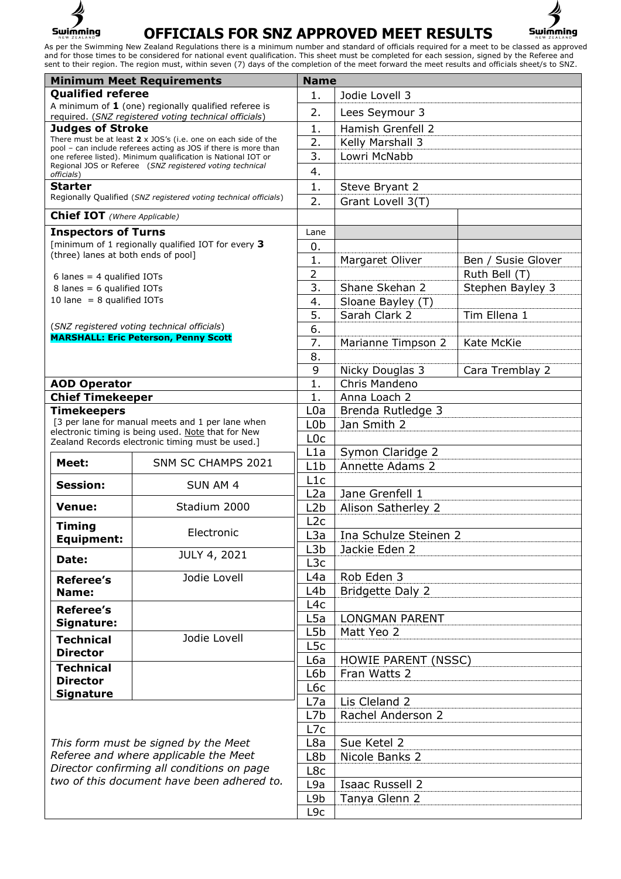



| <b>Minimum Meet Requirements</b>                                                 |                                                                                                                                  | <b>Name</b>                       |                                            |                    |
|----------------------------------------------------------------------------------|----------------------------------------------------------------------------------------------------------------------------------|-----------------------------------|--------------------------------------------|--------------------|
| <b>Qualified referee</b>                                                         |                                                                                                                                  | 1.                                | Jodie Lovell 3                             |                    |
|                                                                                  | A minimum of $1$ (one) regionally qualified referee is                                                                           | 2.                                | Lees Seymour 3                             |                    |
| required. (SNZ registered voting technical officials)<br><b>Judges of Stroke</b> |                                                                                                                                  | 1.                                | Hamish Grenfell 2                          |                    |
|                                                                                  | There must be at least $2 \times$ JOS's (i.e. one on each side of the                                                            | 2.                                | Kelly Marshall 3                           |                    |
|                                                                                  | pool - can include referees acting as JOS if there is more than<br>one referee listed). Minimum qualification is National IOT or | 3.                                | Lowri McNabb                               |                    |
|                                                                                  | Regional JOS or Referee (SNZ registered voting technical                                                                         | 4.                                |                                            |                    |
| officials)<br>Starter                                                            |                                                                                                                                  | 1.                                | Steve Bryant 2                             |                    |
|                                                                                  | Regionally Qualified (SNZ registered voting technical officials)                                                                 | 2.                                | Grant Lovell 3(T)                          |                    |
| <b>Chief IOT</b> (Where Applicable)                                              |                                                                                                                                  |                                   |                                            |                    |
|                                                                                  |                                                                                                                                  |                                   |                                            |                    |
| <b>Inspectors of Turns</b>                                                       | [minimum of 1 regionally qualified IOT for every 3                                                                               | Lane                              |                                            |                    |
| (three) lanes at both ends of pool]                                              |                                                                                                                                  | 0.                                |                                            |                    |
|                                                                                  |                                                                                                                                  | 1.<br>$\overline{2}$              | Margaret Oliver                            | Ben / Susie Glover |
| 6 lanes = $4$ qualified IOTs                                                     |                                                                                                                                  | 3.                                | Shane Skehan 2                             | Ruth Bell (T)      |
| 8 lanes = 6 qualified IOTs<br>10 lane $= 8$ qualified IOTs                       |                                                                                                                                  | 4.                                | Sloane Bayley (T)                          | Stephen Bayley 3   |
|                                                                                  |                                                                                                                                  | 5.                                | Sarah Clark 2                              |                    |
|                                                                                  | (SNZ registered voting technical officials)                                                                                      | 6.                                |                                            | Tim Ellena 1       |
|                                                                                  | <b>MARSHALL: Eric Peterson, Penny Scott</b>                                                                                      | 7.                                |                                            | Kate McKie         |
|                                                                                  |                                                                                                                                  | 8.                                | Marianne Timpson 2                         |                    |
|                                                                                  |                                                                                                                                  |                                   |                                            |                    |
|                                                                                  |                                                                                                                                  | 9<br>$\mathbf{1}$ .               | Nicky Douglas 3<br>Chris Mandeno           | Cara Tremblay 2    |
| <b>AOD Operator</b>                                                              |                                                                                                                                  | 1.                                |                                            |                    |
| <b>Chief Timekeeper</b><br><b>Timekeepers</b>                                    |                                                                                                                                  | L <sub>0</sub> a                  | Anna Loach 2                               |                    |
|                                                                                  | [3 per lane for manual meets and 1 per lane when                                                                                 | L <sub>0</sub> b                  | Brenda Rutledge 3                          |                    |
|                                                                                  | electronic timing is being used. Note that for New                                                                               | L <sub>0</sub> c                  | Jan Smith 2                                |                    |
|                                                                                  | Zealand Records electronic timing must be used.]                                                                                 | L1a                               |                                            |                    |
| Meet:                                                                            | SNM SC CHAMPS 2021                                                                                                               | L1b                               | Symon Claridge 2<br><b>Annette Adams 2</b> |                    |
|                                                                                  |                                                                                                                                  | L1c                               |                                            |                    |
| <b>Session:</b>                                                                  | SUN AM 4                                                                                                                         | L2a                               | Jane Grenfell 1                            |                    |
| <b>Venue:</b>                                                                    | Stadium 2000                                                                                                                     | L2b                               | Alison Satherley 2                         |                    |
|                                                                                  |                                                                                                                                  | L2c                               |                                            |                    |
| <b>Timing</b>                                                                    | Electronic                                                                                                                       | L <sub>3</sub> a                  | Ina Schulze Steinen 2                      |                    |
| <b>Equipment:</b>                                                                |                                                                                                                                  | L3b                               | Jackie Eden 2                              |                    |
| Date:                                                                            | JULY 4, 2021                                                                                                                     | L <sub>3</sub> c                  |                                            |                    |
| <b>Referee's</b>                                                                 | Jodie Lovell                                                                                                                     | L <sub>4</sub> a                  | Rob Eden 3                                 |                    |
| Name:                                                                            |                                                                                                                                  | L <sub>4</sub> b                  | <b>Bridgette Daly 2</b>                    |                    |
|                                                                                  |                                                                                                                                  | L4c                               |                                            |                    |
| <b>Referee's</b>                                                                 |                                                                                                                                  | L5a                               | <b>LONGMAN PARENT</b>                      |                    |
| Signature:                                                                       |                                                                                                                                  | L5b                               | Matt Yeo 2                                 |                    |
| <b>Technical</b>                                                                 | Jodie Lovell                                                                                                                     | L <sub>5</sub> c                  |                                            |                    |
| <b>Director</b>                                                                  |                                                                                                                                  | L6a<br><b>HOWIE PARENT (NSSC)</b> |                                            |                    |
| <b>Technical</b>                                                                 |                                                                                                                                  | L6b                               | Fran Watts 2                               |                    |
| <b>Director</b>                                                                  |                                                                                                                                  | L6c                               |                                            |                    |
| <b>Signature</b>                                                                 |                                                                                                                                  | L7a                               | Lis Cleland 2                              |                    |
|                                                                                  |                                                                                                                                  | L7b                               | Rachel Anderson 2                          |                    |
|                                                                                  |                                                                                                                                  | L7c                               |                                            |                    |
| This form must be signed by the Meet                                             |                                                                                                                                  | L8a                               | Sue Ketel 2                                |                    |
| Referee and where applicable the Meet                                            |                                                                                                                                  | L8b                               | Nicole Banks 2                             |                    |
| Director confirming all conditions on page                                       |                                                                                                                                  | L8c                               |                                            |                    |
| two of this document have been adhered to.                                       |                                                                                                                                  | L9a                               | Isaac Russell 2                            |                    |
|                                                                                  |                                                                                                                                  | L9b                               | Tanya Glenn 2                              |                    |
|                                                                                  |                                                                                                                                  | L9c                               |                                            |                    |
|                                                                                  |                                                                                                                                  |                                   |                                            |                    |